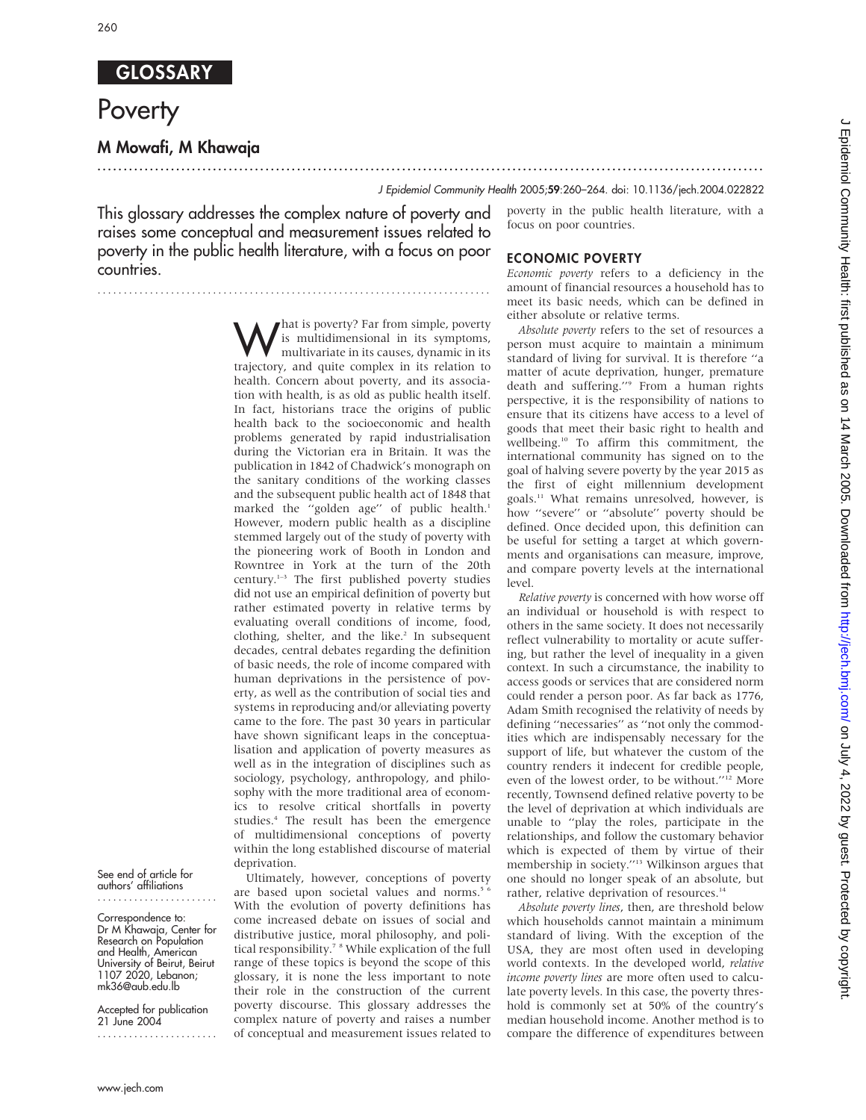## **GLOSSARY**

# **Poverty**

## M Mowafi, M Khawaja

## J Epidemiol Community Health 2005;59:260–264. doi: 10.1136/jech.2004.022822

This glossary addresses the complex nature of poverty and raises some conceptual and measurement issues related to poverty in the public health literature, with a focus on poor countries.

...........................................................................

poverty in the public health literature, with a focus on poor countries.

#### ECONOMIC POVERTY

Economic poverty refers to a deficiency in the amount of financial resources a household has to meet its basic needs, which can be defined in either absolute or relative terms.

**What is poverty?** Far from simple, poverty<br>is multidimensional in its symptoms,<br>multivariate in its causes, dynamic in its<br>trajectory, and quite complex in its relation to is multidimensional in its symptoms, trajectory, and quite complex in its relation to health. Concern about poverty, and its association with health, is as old as public health itself. In fact, historians trace the origins of public health back to the socioeconomic and health problems generated by rapid industrialisation during the Victorian era in Britain. It was the publication in 1842 of Chadwick's monograph on the sanitary conditions of the working classes and the subsequent public health act of 1848 that marked the "golden age" of public health.<sup>1</sup> However, modern public health as a discipline stemmed largely out of the study of poverty with the pioneering work of Booth in London and Rowntree in York at the turn of the 20th century.1–3 The first published poverty studies did not use an empirical definition of poverty but rather estimated poverty in relative terms by evaluating overall conditions of income, food, clothing, shelter, and the like.<sup>2</sup> In subsequent decades, central debates regarding the definition of basic needs, the role of income compared with human deprivations in the persistence of poverty, as well as the contribution of social ties and systems in reproducing and/or alleviating poverty came to the fore. The past 30 years in particular have shown significant leaps in the conceptualisation and application of poverty measures as well as in the integration of disciplines such as sociology, psychology, anthropology, and philosophy with the more traditional area of economics to resolve critical shortfalls in poverty studies.<sup>4</sup> The result has been the emergence of multidimensional conceptions of poverty within the long established discourse of material deprivation.

...............................................................................................................................

Ultimately, however, conceptions of poverty are based upon societal values and norms.<sup>5 6</sup> With the evolution of poverty definitions has come increased debate on issues of social and distributive justice, moral philosophy, and political responsibility.<sup>7</sup> <sup>8</sup> While explication of the full range of these topics is beyond the scope of this glossary, it is none the less important to note their role in the construction of the current poverty discourse. This glossary addresses the complex nature of poverty and raises a number of conceptual and measurement issues related to

Absolute poverty refers to the set of resources a person must acquire to maintain a minimum standard of living for survival. It is therefore ''a matter of acute deprivation, hunger, premature death and suffering.''9 From a human rights perspective, it is the responsibility of nations to ensure that its citizens have access to a level of goods that meet their basic right to health and wellbeing.<sup>10</sup> To affirm this commitment, the international community has signed on to the goal of halving severe poverty by the year 2015 as the first of eight millennium development goals.<sup>11</sup> What remains unresolved, however, is how ''severe'' or ''absolute'' poverty should be defined. Once decided upon, this definition can be useful for setting a target at which governments and organisations can measure, improve, and compare poverty levels at the international level.

Relative poverty is concerned with how worse off an individual or household is with respect to others in the same society. It does not necessarily reflect vulnerability to mortality or acute suffering, but rather the level of inequality in a given context. In such a circumstance, the inability to access goods or services that are considered norm could render a person poor. As far back as 1776, Adam Smith recognised the relativity of needs by defining ''necessaries'' as ''not only the commodities which are indispensably necessary for the support of life, but whatever the custom of the country renders it indecent for credible people, even of the lowest order, to be without.''12 More recently, Townsend defined relative poverty to be the level of deprivation at which individuals are unable to ''play the roles, participate in the relationships, and follow the customary behavior which is expected of them by virtue of their membership in society.''13 Wilkinson argues that one should no longer speak of an absolute, but rather, relative deprivation of resources.<sup>14</sup>

Absolute poverty lines, then, are threshold below which households cannot maintain a minimum standard of living. With the exception of the USA, they are most often used in developing world contexts. In the developed world, relative income poverty lines are more often used to calculate poverty levels. In this case, the poverty threshold is commonly set at 50% of the country's median household income. Another method is to compare the difference of expenditures between

J Epidemiol Community Health: first published as on 14 March 2005. Downloaded from http://jech.bmj.com/ on July 4, 2022 by guest. Protected by copyright on July 4, 2022 by guest. Protected by copyright. <http://jech.bmj.com/> J Epidemiol Community Health: first published as on 14 March 2005. Downloaded from

#### See end of article for authors' affiliations

Correspondence to: Dr M Khawaja, Center for Research on Population and Health, American University of Beirut, Beirut 1107 2020, Lebanon; mk36@aub.edu.lb

Accepted for publication 21 June 2004 .......................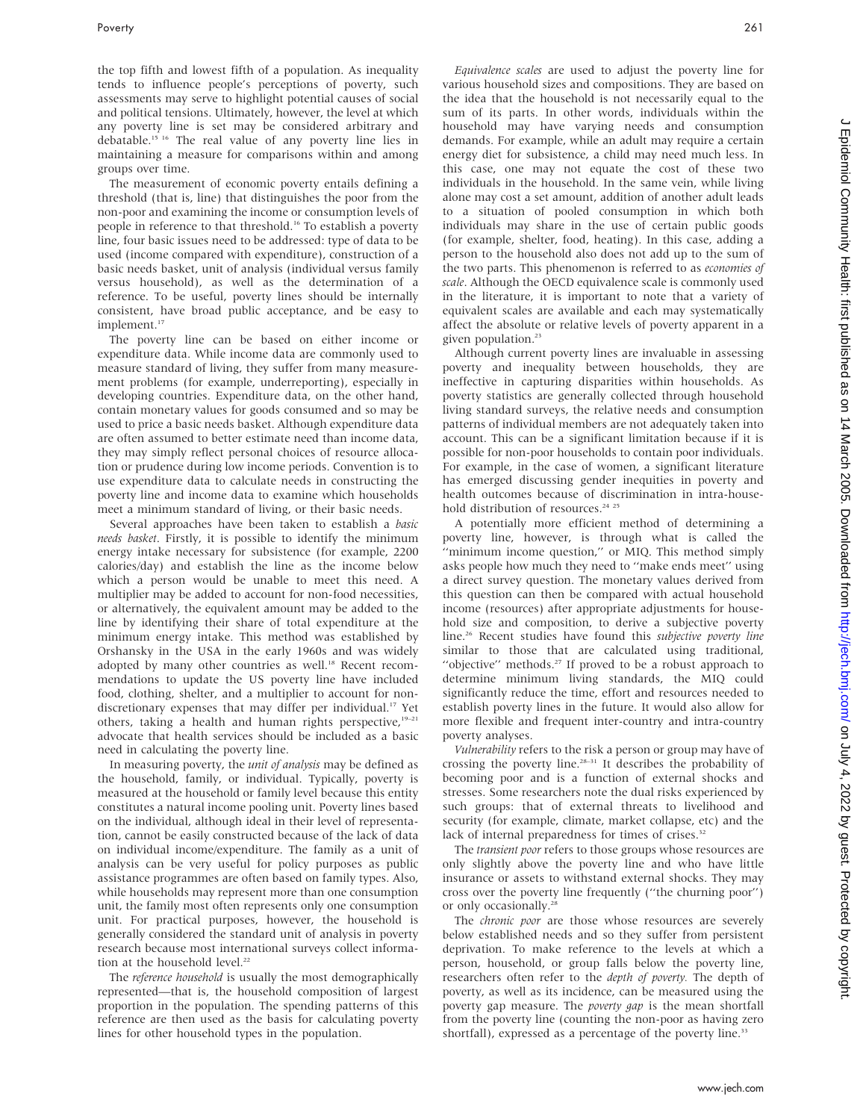the top fifth and lowest fifth of a population. As inequality tends to influence people's perceptions of poverty, such assessments may serve to highlight potential causes of social and political tensions. Ultimately, however, the level at which any poverty line is set may be considered arbitrary and debatable.15 16 The real value of any poverty line lies in maintaining a measure for comparisons within and among groups over time.

The measurement of economic poverty entails defining a threshold (that is, line) that distinguishes the poor from the non-poor and examining the income or consumption levels of people in reference to that threshold.<sup>16</sup> To establish a poverty line, four basic issues need to be addressed: type of data to be used (income compared with expenditure), construction of a basic needs basket, unit of analysis (individual versus family versus household), as well as the determination of a reference. To be useful, poverty lines should be internally consistent, have broad public acceptance, and be easy to implement.<sup>17</sup>

The poverty line can be based on either income or expenditure data. While income data are commonly used to measure standard of living, they suffer from many measurement problems (for example, underreporting), especially in developing countries. Expenditure data, on the other hand, contain monetary values for goods consumed and so may be used to price a basic needs basket. Although expenditure data are often assumed to better estimate need than income data, they may simply reflect personal choices of resource allocation or prudence during low income periods. Convention is to use expenditure data to calculate needs in constructing the poverty line and income data to examine which households meet a minimum standard of living, or their basic needs.

Several approaches have been taken to establish a basic needs basket. Firstly, it is possible to identify the minimum energy intake necessary for subsistence (for example, 2200 calories/day) and establish the line as the income below which a person would be unable to meet this need. A multiplier may be added to account for non-food necessities, or alternatively, the equivalent amount may be added to the line by identifying their share of total expenditure at the minimum energy intake. This method was established by Orshansky in the USA in the early 1960s and was widely adopted by many other countries as well.<sup>18</sup> Recent recommendations to update the US poverty line have included food, clothing, shelter, and a multiplier to account for nondiscretionary expenses that may differ per individual.<sup>17</sup> Yet others, taking a health and human rights perspective, $19-21$ advocate that health services should be included as a basic need in calculating the poverty line.

In measuring poverty, the *unit of analysis* may be defined as the household, family, or individual. Typically, poverty is measured at the household or family level because this entity constitutes a natural income pooling unit. Poverty lines based on the individual, although ideal in their level of representation, cannot be easily constructed because of the lack of data on individual income/expenditure. The family as a unit of analysis can be very useful for policy purposes as public assistance programmes are often based on family types. Also, while households may represent more than one consumption unit, the family most often represents only one consumption unit. For practical purposes, however, the household is generally considered the standard unit of analysis in poverty research because most international surveys collect information at the household level.<sup>22</sup>

The reference household is usually the most demographically represented—that is, the household composition of largest proportion in the population. The spending patterns of this reference are then used as the basis for calculating poverty lines for other household types in the population.

Equivalence scales are used to adjust the poverty line for various household sizes and compositions. They are based on the idea that the household is not necessarily equal to the sum of its parts. In other words, individuals within the household may have varying needs and consumption demands. For example, while an adult may require a certain energy diet for subsistence, a child may need much less. In this case, one may not equate the cost of these two individuals in the household. In the same vein, while living alone may cost a set amount, addition of another adult leads to a situation of pooled consumption in which both individuals may share in the use of certain public goods (for example, shelter, food, heating). In this case, adding a person to the household also does not add up to the sum of the two parts. This phenomenon is referred to as *economies of* scale. Although the OECD equivalence scale is commonly used in the literature, it is important to note that a variety of equivalent scales are available and each may systematically affect the absolute or relative levels of poverty apparent in a given population.<sup>23</sup>

Although current poverty lines are invaluable in assessing poverty and inequality between households, they are ineffective in capturing disparities within households. As poverty statistics are generally collected through household living standard surveys, the relative needs and consumption patterns of individual members are not adequately taken into account. This can be a significant limitation because if it is possible for non-poor households to contain poor individuals. For example, in the case of women, a significant literature has emerged discussing gender inequities in poverty and health outcomes because of discrimination in intra-household distribution of resources.<sup>24 25</sup>

A potentially more efficient method of determining a poverty line, however, is through what is called the ''minimum income question,'' or MIQ. This method simply asks people how much they need to ''make ends meet'' using a direct survey question. The monetary values derived from this question can then be compared with actual household income (resources) after appropriate adjustments for household size and composition, to derive a subjective poverty line.<sup>26</sup> Recent studies have found this *subjective poverty line* similar to those that are calculated using traditional, "objective" methods.<sup>27</sup> If proved to be a robust approach to determine minimum living standards, the MIQ could significantly reduce the time, effort and resources needed to establish poverty lines in the future. It would also allow for more flexible and frequent inter-country and intra-country poverty analyses.

Vulnerability refers to the risk a person or group may have of crossing the poverty line.<sup>28–31</sup> It describes the probability of becoming poor and is a function of external shocks and stresses. Some researchers note the dual risks experienced by such groups: that of external threats to livelihood and security (for example, climate, market collapse, etc) and the lack of internal preparedness for times of crises.<sup>32</sup>

The transient poor refers to those groups whose resources are only slightly above the poverty line and who have little insurance or assets to withstand external shocks. They may cross over the poverty line frequently (''the churning poor'') or only occasionally.<sup>28</sup>

The *chronic poor* are those whose resources are severely below established needs and so they suffer from persistent deprivation. To make reference to the levels at which a person, household, or group falls below the poverty line, researchers often refer to the depth of poverty. The depth of poverty, as well as its incidence, can be measured using the poverty gap measure. The poverty gap is the mean shortfall from the poverty line (counting the non-poor as having zero shortfall), expressed as a percentage of the poverty line.<sup>33</sup>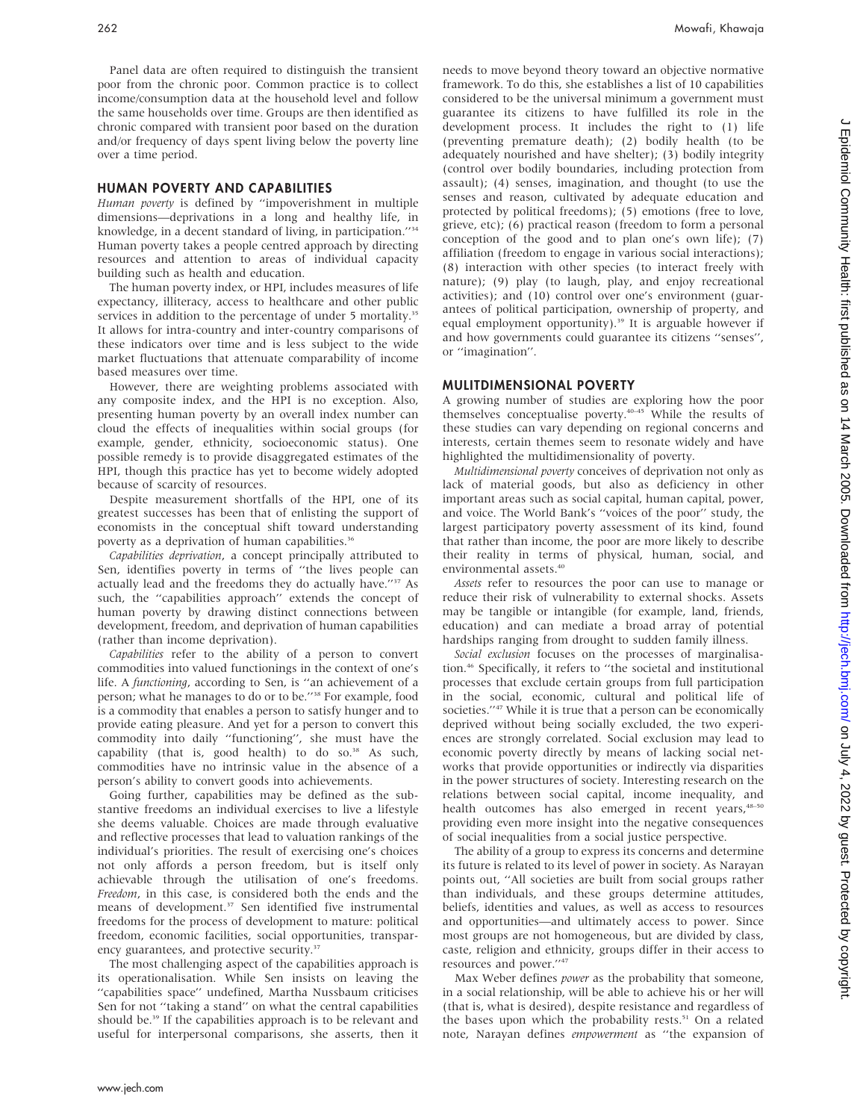Panel data are often required to distinguish the transient poor from the chronic poor. Common practice is to collect income/consumption data at the household level and follow the same households over time. Groups are then identified as chronic compared with transient poor based on the duration and/or frequency of days spent living below the poverty line over a time period.

#### HUMAN POVERTY AND CAPABILITIES

Human poverty is defined by ''impoverishment in multiple dimensions—deprivations in a long and healthy life, in knowledge, in a decent standard of living, in participation.''34 Human poverty takes a people centred approach by directing resources and attention to areas of individual capacity building such as health and education.

The human poverty index, or HPI, includes measures of life expectancy, illiteracy, access to healthcare and other public services in addition to the percentage of under 5 mortality.<sup>35</sup> It allows for intra-country and inter-country comparisons of these indicators over time and is less subject to the wide market fluctuations that attenuate comparability of income based measures over time.

However, there are weighting problems associated with any composite index, and the HPI is no exception. Also, presenting human poverty by an overall index number can cloud the effects of inequalities within social groups (for example, gender, ethnicity, socioeconomic status). One possible remedy is to provide disaggregated estimates of the HPI, though this practice has yet to become widely adopted because of scarcity of resources.

Despite measurement shortfalls of the HPI, one of its greatest successes has been that of enlisting the support of economists in the conceptual shift toward understanding poverty as a deprivation of human capabilities.<sup>36</sup>

Capabilities deprivation, a concept principally attributed to Sen, identifies poverty in terms of ''the lives people can actually lead and the freedoms they do actually have."<sup>37</sup> As such, the ''capabilities approach'' extends the concept of human poverty by drawing distinct connections between development, freedom, and deprivation of human capabilities (rather than income deprivation).

Capabilities refer to the ability of a person to convert commodities into valued functionings in the context of one's life. A functioning, according to Sen, is ''an achievement of a person; what he manages to do or to be.''38 For example, food is a commodity that enables a person to satisfy hunger and to provide eating pleasure. And yet for a person to convert this commodity into daily ''functioning'', she must have the capability (that is, good health) to do so.<sup>38</sup> As such, commodities have no intrinsic value in the absence of a person's ability to convert goods into achievements.

Going further, capabilities may be defined as the substantive freedoms an individual exercises to live a lifestyle she deems valuable. Choices are made through evaluative and reflective processes that lead to valuation rankings of the individual's priorities. The result of exercising one's choices not only affords a person freedom, but is itself only achievable through the utilisation of one's freedoms. Freedom, in this case, is considered both the ends and the means of development.<sup>37</sup> Sen identified five instrumental freedoms for the process of development to mature: political freedom, economic facilities, social opportunities, transparency guarantees, and protective security.<sup>37</sup>

The most challenging aspect of the capabilities approach is its operationalisation. While Sen insists on leaving the ''capabilities space'' undefined, Martha Nussbaum criticises Sen for not ''taking a stand'' on what the central capabilities should be.<sup>39</sup> If the capabilities approach is to be relevant and useful for interpersonal comparisons, she asserts, then it needs to move beyond theory toward an objective normative framework. To do this, she establishes a list of 10 capabilities considered to be the universal minimum a government must guarantee its citizens to have fulfilled its role in the development process. It includes the right to (1) life (preventing premature death); (2) bodily health (to be adequately nourished and have shelter); (3) bodily integrity (control over bodily boundaries, including protection from assault); (4) senses, imagination, and thought (to use the senses and reason, cultivated by adequate education and protected by political freedoms); (5) emotions (free to love, grieve, etc); (6) practical reason (freedom to form a personal conception of the good and to plan one's own life); (7) affiliation (freedom to engage in various social interactions); (8) interaction with other species (to interact freely with nature); (9) play (to laugh, play, and enjoy recreational activities); and (10) control over one's environment (guarantees of political participation, ownership of property, and equal employment opportunity).<sup>39</sup> It is arguable however if and how governments could guarantee its citizens ''senses'', or ''imagination''.

#### MULITDIMENSIONAL POVERTY

A growing number of studies are exploring how the poor themselves conceptualise poverty.40–45 While the results of these studies can vary depending on regional concerns and interests, certain themes seem to resonate widely and have highlighted the multidimensionality of poverty.

Multidimensional poverty conceives of deprivation not only as lack of material goods, but also as deficiency in other important areas such as social capital, human capital, power, and voice. The World Bank's ''voices of the poor'' study, the largest participatory poverty assessment of its kind, found that rather than income, the poor are more likely to describe their reality in terms of physical, human, social, and environmental assets.40

Assets refer to resources the poor can use to manage or reduce their risk of vulnerability to external shocks. Assets may be tangible or intangible (for example, land, friends, education) and can mediate a broad array of potential hardships ranging from drought to sudden family illness.

Social exclusion focuses on the processes of marginalisation.46 Specifically, it refers to ''the societal and institutional processes that exclude certain groups from full participation in the social, economic, cultural and political life of societies."<sup>47</sup> While it is true that a person can be economically deprived without being socially excluded, the two experiences are strongly correlated. Social exclusion may lead to economic poverty directly by means of lacking social networks that provide opportunities or indirectly via disparities in the power structures of society. Interesting research on the relations between social capital, income inequality, and health outcomes has also emerged in recent years, 48-50 providing even more insight into the negative consequences of social inequalities from a social justice perspective.

The ability of a group to express its concerns and determine its future is related to its level of power in society. As Narayan points out, ''All societies are built from social groups rather than individuals, and these groups determine attitudes, beliefs, identities and values, as well as access to resources and opportunities—and ultimately access to power. Since most groups are not homogeneous, but are divided by class, caste, religion and ethnicity, groups differ in their access to resources and power.''47

Max Weber defines power as the probability that someone, in a social relationship, will be able to achieve his or her will (that is, what is desired), despite resistance and regardless of the bases upon which the probability rests.<sup>51</sup> On a related note, Narayan defines empowerment as ''the expansion of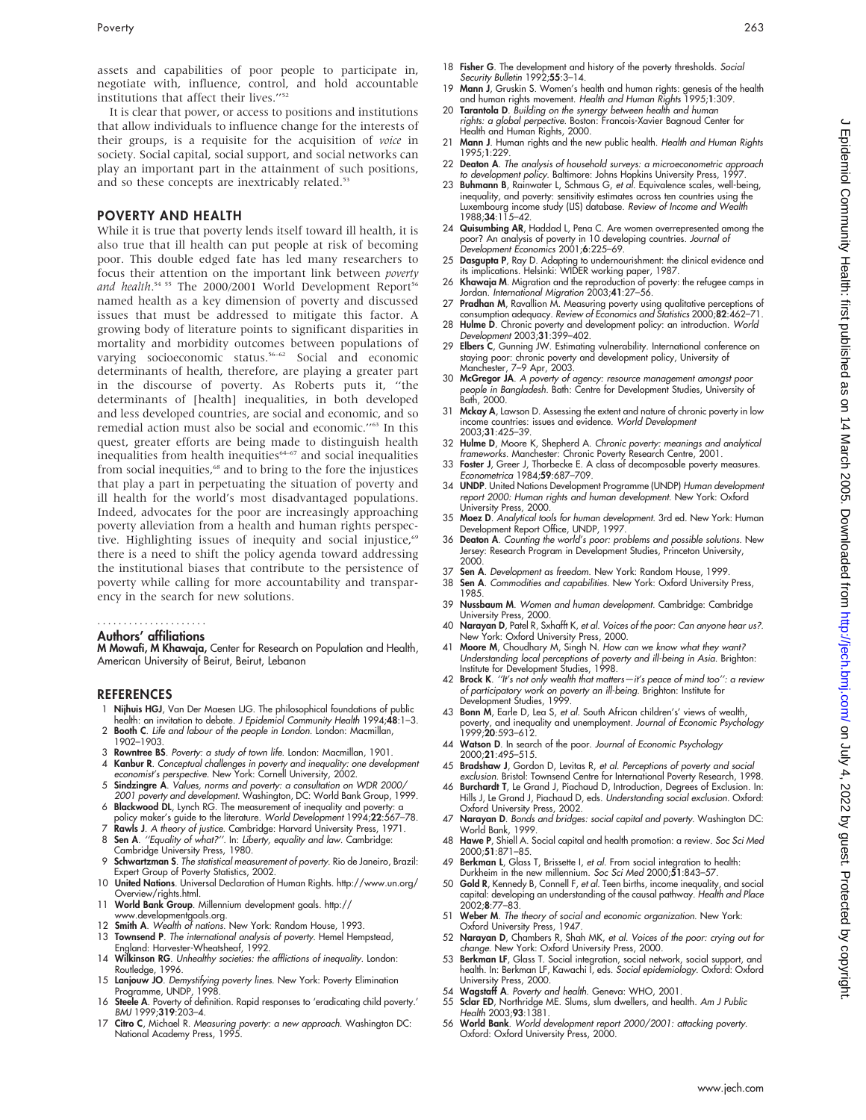assets and capabilities of poor people to participate in, negotiate with, influence, control, and hold accountable institutions that affect their lives."<sup>52</sup>

It is clear that power, or access to positions and institutions that allow individuals to influence change for the interests of their groups, is a requisite for the acquisition of voice in society. Social capital, social support, and social networks can play an important part in the attainment of such positions, and so these concepts are inextricably related.<sup>53</sup>

#### POVERTY AND HEALTH

While it is true that poverty lends itself toward ill health, it is also true that ill health can put people at risk of becoming poor. This double edged fate has led many researchers to focus their attention on the important link between poverty and health.<sup>54 55</sup> The 2000/2001 World Development Report<sup>56</sup> named health as a key dimension of poverty and discussed issues that must be addressed to mitigate this factor. A growing body of literature points to significant disparities in mortality and morbidity outcomes between populations of varying socioeconomic status.<sup>56–62</sup> Social and economic determinants of health, therefore, are playing a greater part in the discourse of poverty. As Roberts puts it, ''the determinants of [health] inequalities, in both developed and less developed countries, are social and economic, and so remedial action must also be social and economic.''63 In this quest, greater efforts are being made to distinguish health inequalities from health inequities<sup>64-67</sup> and social inequalities from social inequities,<sup>68</sup> and to bring to the fore the injustices that play a part in perpetuating the situation of poverty and ill health for the world's most disadvantaged populations. Indeed, advocates for the poor are increasingly approaching poverty alleviation from a health and human rights perspective. Highlighting issues of inequity and social injustice,<sup>69</sup> there is a need to shift the policy agenda toward addressing the institutional biases that contribute to the persistence of poverty while calling for more accountability and transparency in the search for new solutions.

## .....................

Authors' affiliations

M Mowafi, M Khawaja, Center for Research on Population and Health, American University of Beirut, Beirut, Lebanon

#### REFERENCES

- 1 Nijhuis HGJ, Van Der Maesen LJG. The philosophical foundations of public health: an invitation to debate. J Epidemiol Community Health 1994;48:1-3.
- 2 Booth C. Life and labour of the people in London. London: Macmillan, 1902–1903.
- 3 Rowntree BS. Poverty: a study of town life. London: Macmillan, 1901.
- 4 Kanbur R. Conceptual challenges in poverty and inequality: one development economist's perspective. New York: Cornell University, 2002.
- 5 Sindzingre A. Values, norms and poverty: a consultation on WDR 2000/ 2001 poverty and development. Washington, DC: World Bank Group, 1999.
- 6 Blackwood DL, Lynch RG. The measurement of inequality and poverty: a
- policy maker's guide to the literature. World Development 1994;22:567-78.
- Rawls J. A theory of justice. Cambridge: Harvard University Press, 1971. 8 Sen A. "Equality of what?". In: Liberty, equality and law. Cambridge:
- Cambridge University Press, 1980.
- 9 Schwartzman S. The statistical measurement of poverty. Rio de Janeiro, Brazil: Expert Group of Poverty Statistics, 2002.
- 10 United Nations. Universal Declaration of Human Rights. http://www.un.org/ Overview/rights.html. 11 World Bank Group. Millennium development goals. http://
- 
- www.developmentgoals.org. 12 Smith A. Wealth of nations. New York: Random House, 1993.
- 13 Townsend P. The international analysis of poverty. Hemel Hempstead, England: Harvester-Wheatsheaf, 1992.
- 14 Wilkinson RG. Unhealthy societies: the afflictions of inequality. London: Routledge, 1996.
- 15 Lanjouw JO. Demystifying poverty lines. New York: Poverty Elimination Programme, UNDP, 1998.
- 16 Steele A. Poverty of definition. Rapid responses to 'eradicating child poverty.' BMJ 1999;319:203–4.
- 17 Citro C, Michael R. Measuring poverty: a new approach. Washington DC: National Academy Press, 1995.
- 18 Fisher G. The development and history of the poverty thresholds. Social Security Bulletin 1992;55:3-14.
- 19 Mann J, Gruskin S. Women's health and human rights: genesis of the health and human rights movement. Health and Human Rights 1995;1:309.
- 20 Tarantola D. Building on the synergy between health and human rights: a global perpective. Boston: Francois-Xavier Bagnoud Center for Health and Human Rights, 2000.
- 21 Mann J. Human rights and the new public health. Health and Human Rights 1995;1:229.
- 22 Deaton A. The analysis of household surveys: a microeconometric approach to development policy. Baltimore: Johns Hopkins University Press, 1997
- 23 Buhmann B, Rainwater L, Schmaus G, et al. Equivalence scales, well-being, inequality, and poverty: sensitivity estimates across ten countries using the<br>Luxembourg income study (LIS) database. *Review of Income and Wealth*<br>1988;**34**:115–42.
- 24 Quisumbing AR, Haddad L, Pena C. Are women overrepresented among the poor? An analysis of poverty in 10 developing countries. Journal of Development Economics 2001;6:225–69.
- 25 Dasgupta P, Ray D. Adapting to undernourishment: the clinical evidence and its implications. Helsinki: WIDER working paper, 1987.
- 26 Khawaja M. Migration and the reproduction of poverty: the refugee camps in Jordan. *International Migration* 2003;**41**:27–56.<br>27 **Pradhan M**, Ravallion M. Measuring poverty using qualitative perceptions of
- consumption adequacy. Review of Economics and Statistics 2000;82:462–71.
- 28 Hulme D. Chronic poverty and development policy: an introduction. World Development 2003;31:399–402.
- 29 Elbers C, Gunning JW. Estimating vulnerability. International conference on staying poor: chronic poverty and development policy, University of Manchester, 7–9 Apr, 2003.
- 30 McGregor JA. A poverty of agency: resource management amongst poor people in Bangladesh. Bath: Centre for Development Studies, University of Bath, 2000.
- 31 Mckay A, Lawson D. Assessing the extent and nature of chronic poverty in low income countries: issues and evidence. World Development 2003;31:425–39.
- 32 Hulme D, Moore K, Shepherd A. Chronic poverty: meanings and analytical
- frameworks. Manchester: Chronic Poverty Research Centre, 2001. 33 Foster J, Greer J, Thorbecke E. A class of decomposable poverty measures. Econometrica 1984;59:687–709.
- 34 UNDP. United Nations Development Programme (UNDP) Human development report 2000: Human rights and human development. New York: Oxford University Press, 2000.
- 35 Moez D. Analytical tools for human development. 3rd ed. New York: Human Development Report Office, UNDP, 1997.
- 36 Deaton A. Counting the world's poor: problems and possible solutions. New Jersey: Research Program in Development Studies, Princeton University, 2000.
- 37 Sen A. Development as freedom. New York: Random House, 1999.<br>38 Sen A. Commodities and capabilities. New York: Oxford University
- Sen A. Commodities and capabilities. New York: Oxford University Press, 1985.
- 39 Nussbaum M. Women and human development. Cambridge: Cambridge University Press, 2000.
- 40 Narayan D, Patel R, Sxhafft K, et al. Voices of the poor: Can anyone hear us?.
- New York: Oxford University Press, 2000.<br>41 Moore M, Choudhary M, Singh N. How can we know what they want? Understanding local perceptions of poverty and ill-being in Asia. Brighton: Institute for Development Studies, 1998.
- 42 Brock K. "It's not only wealth that matters-it's peace of mind too": a review of participatory work on poverty an ill-being. Brighton: Institute for Development Studies, 1999.
- 43 Bonn M, Earle D, Lea S, et al. South African children's' views of wealth, poverty, and inequality and unemployment. Journal of Economic Psychology 1999;20:593–612.
- 44 Watson D. In search of the poor. Journal of Economic Psychology 2000;21:495–515.
- 45 Bradshaw J, Gordon D, Levitas R, et al. Perceptions of poverty and social exclusion. Bristol: Townsend Centre for International Poverty Research, 1998.
- 46 Burchardt T, Le Grand J, Piachaud D, Introduction, Degrees of Exclusion. In: Hills J, Le Grand J, Piachaud D, eds. Understanding social exclusion. Oxford: Oxford University Press, 2002.
- 47 Narayan D. Bonds and bridges: social capital and poverty. Washington DC: World Bank, 1999.
- 48 Hawe P, Shiell A. Social capital and health promotion: a review. Soc Sci Med 2000;51:871–85.
- 49 Berkman L, Glass T, Brissette I, et al. From social integration to health: Durkheim in the new millennium. Soc Sci Med 2000;51:843–57.
- 50 Gold R, Kennedy B, Connell F, et al. Teen births, income inequality, and social capital: developing an understanding of the causal pathway. Health and Place 2002;8:77–83.
- 51 Weber M. The theory of social and economic organization. New York: Oxford University Press, 1947.
- 52 Narayan D, Chambers R, Shah MK, et al. Voices of the poor: crying out for change. New York: Oxford University Press, 2000.
- 53 Berkman LF, Glass T. Social integration, social network, social support, and health. In: Berkman LF, Kawachi I, eds. Social epidemiology. Oxford: Oxford University Press, 2000.
- 54 Wagstaff A. Poverty and health. Geneva: WHO, 2001.<br>55 Sclar ED. Northridge ME. Slums. slum dwellers. and hea
- 55 **Sclar ED**, Northridge ME. Slums, slum dwellers, and health. *Am J Public*<br>Health 2003;**93**:1381.
- 56 World Bank. World development report 2000/2001: attacking poverty. Oxford: Oxford University Press, 2000.